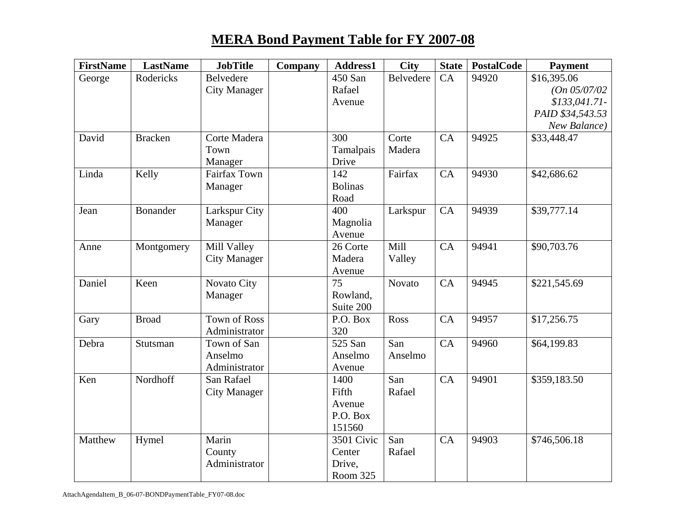## **MERA Bond Payment Table for FY 2007-08**

| <b>FirstName</b> | <b>LastName</b> | <b>JobTitle</b>     | Company | Address1       | <b>City</b>   | <b>State</b> | <b>PostalCode</b> | <b>Payment</b>   |
|------------------|-----------------|---------------------|---------|----------------|---------------|--------------|-------------------|------------------|
| George           | Rodericks       | Belvedere           |         | 450 San        | Belvedere     | CA           | 94920             | \$16,395.06      |
|                  |                 | <b>City Manager</b> |         | Rafael         |               |              |                   | (On 05/07/02)    |
|                  |                 |                     |         | Avenue         |               |              |                   | $$133,041.71-$   |
|                  |                 |                     |         |                |               |              |                   | PAID \$34,543.53 |
|                  |                 |                     |         |                |               |              |                   | New Balance)     |
| David            | <b>Bracken</b>  | Corte Madera        |         | 300            | Corte         | CA           | 94925             | \$33,448.47      |
|                  |                 | Town                |         | Tamalpais      | Madera        |              |                   |                  |
|                  |                 | Manager             |         | Drive          |               |              |                   |                  |
| Linda            | Kelly           | <b>Fairfax Town</b> |         | 142            | Fairfax       | CA           | 94930             | \$42,686.62      |
|                  |                 | Manager             |         | <b>Bolinas</b> |               |              |                   |                  |
|                  |                 |                     |         | Road           |               |              |                   |                  |
| Jean             | <b>Bonander</b> | Larkspur City       |         | 400            | Larkspur      | CA           | 94939             | \$39,777.14      |
|                  |                 | Manager             |         | Magnolia       |               |              |                   |                  |
|                  |                 |                     |         | Avenue         |               |              |                   |                  |
| Anne             | Montgomery      | Mill Valley         |         | 26 Corte       | Mill          | CA           | 94941             | \$90,703.76      |
|                  |                 | <b>City Manager</b> |         | Madera         | Valley        |              |                   |                  |
|                  |                 |                     |         | Avenue         |               |              |                   |                  |
| Daniel           | Keen            | Novato City         |         | 75             | <b>Novato</b> | CA           | 94945             | \$221,545.69     |
|                  |                 | Manager             |         | Rowland,       |               |              |                   |                  |
|                  |                 |                     |         | Suite 200      |               |              |                   |                  |
| Gary             | <b>Broad</b>    | <b>Town of Ross</b> |         | P.O. Box       | Ross          | CA           | 94957             | \$17,256.75      |
|                  |                 | Administrator       |         | 320            |               |              |                   |                  |
| Debra            | Stutsman        | Town of San         |         | 525 San        | San           | CA           | 94960             | \$64,199.83      |
|                  |                 | Anselmo             |         | Anselmo        | Anselmo       |              |                   |                  |
|                  |                 | Administrator       |         | Avenue         |               |              |                   |                  |
| Ken              | Nordhoff        | San Rafael          |         | 1400           | San           | CA           | 94901             | \$359,183.50     |
|                  |                 | <b>City Manager</b> |         | Fifth          | Rafael        |              |                   |                  |
|                  |                 |                     |         | Avenue         |               |              |                   |                  |
|                  |                 |                     |         | P.O. Box       |               |              |                   |                  |
|                  |                 |                     |         | 151560         |               |              |                   |                  |
| Matthew          | Hymel           | Marin               |         | 3501 Civic     | San           | CA           | 94903             | \$746,506.18     |
|                  |                 | County              |         | Center         | Rafael        |              |                   |                  |
|                  |                 | Administrator       |         | Drive,         |               |              |                   |                  |
|                  |                 |                     |         | Room 325       |               |              |                   |                  |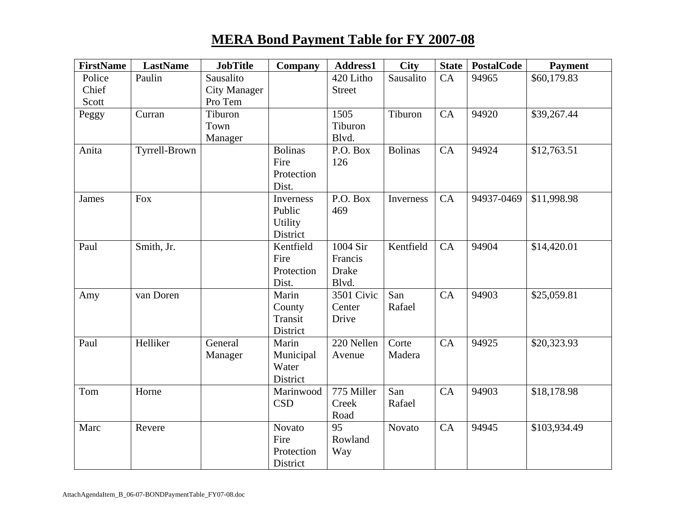## **MERA Bond Payment Table for FY 2007-08**

| <b>FirstName</b> | <b>LastName</b> | <b>JobTitle</b>     | Company        | Address1      | <b>City</b>    | <b>State</b> | PostalCode | <b>Payment</b> |
|------------------|-----------------|---------------------|----------------|---------------|----------------|--------------|------------|----------------|
| Police           | Paulin          | Sausalito           |                | 420 Litho     | Sausalito      | CA           | 94965      | \$60,179.83    |
| Chief            |                 | <b>City Manager</b> |                | <b>Street</b> |                |              |            |                |
| Scott            |                 | Pro Tem             |                |               |                |              |            |                |
| Peggy            | Curran          | Tiburon             |                | 1505          | Tiburon        | CA           | 94920      | \$39,267.44    |
|                  |                 | Town                |                | Tiburon       |                |              |            |                |
|                  |                 | Manager             |                | Blvd.         |                |              |            |                |
| Anita            | Tyrrell-Brown   |                     | <b>Bolinas</b> | P.O. Box      | <b>Bolinas</b> | CA           | 94924      | \$12,763.51    |
|                  |                 |                     | Fire           | 126           |                |              |            |                |
|                  |                 |                     | Protection     |               |                |              |            |                |
|                  |                 |                     | Dist.          |               |                |              |            |                |
| James            | Fox             |                     | Inverness      | P.O. Box      | Inverness      | CA           | 94937-0469 | \$11,998.98    |
|                  |                 |                     | Public         | 469           |                |              |            |                |
|                  |                 |                     | Utility        |               |                |              |            |                |
|                  |                 |                     | District       |               |                |              |            |                |
| Paul             | Smith, Jr.      |                     | Kentfield      | 1004 Sir      | Kentfield      | CA           | 94904      | \$14,420.01    |
|                  |                 |                     | Fire           | Francis       |                |              |            |                |
|                  |                 |                     | Protection     | <b>Drake</b>  |                |              |            |                |
|                  |                 |                     | Dist.          | Blvd.         |                |              |            |                |
| Amy              | van Doren       |                     | Marin          | 3501 Civic    | San            | CA           | 94903      | \$25,059.81    |
|                  |                 |                     | County         | Center        | Rafael         |              |            |                |
|                  |                 |                     | Transit        | Drive         |                |              |            |                |
|                  |                 |                     | District       |               |                |              |            |                |
| Paul             | Helliker        | General             | Marin          | 220 Nellen    | Corte          | CA           | 94925      | \$20,323.93    |
|                  |                 | Manager             | Municipal      | Avenue        | Madera         |              |            |                |
|                  |                 |                     | Water          |               |                |              |            |                |
|                  |                 |                     | District       |               |                |              |            |                |
| Tom              | Horne           |                     | Marinwood      | 775 Miller    | San            | CA           | 94903      | \$18,178.98    |
|                  |                 |                     | <b>CSD</b>     | Creek         | Rafael         |              |            |                |
|                  |                 |                     |                | Road          |                |              |            |                |
| Marc             | Revere          |                     | Novato         | 95            | Novato         | CA           | 94945      | \$103,934.49   |
|                  |                 |                     | Fire           | Rowland       |                |              |            |                |
|                  |                 |                     | Protection     | Way           |                |              |            |                |
|                  |                 |                     | District       |               |                |              |            |                |